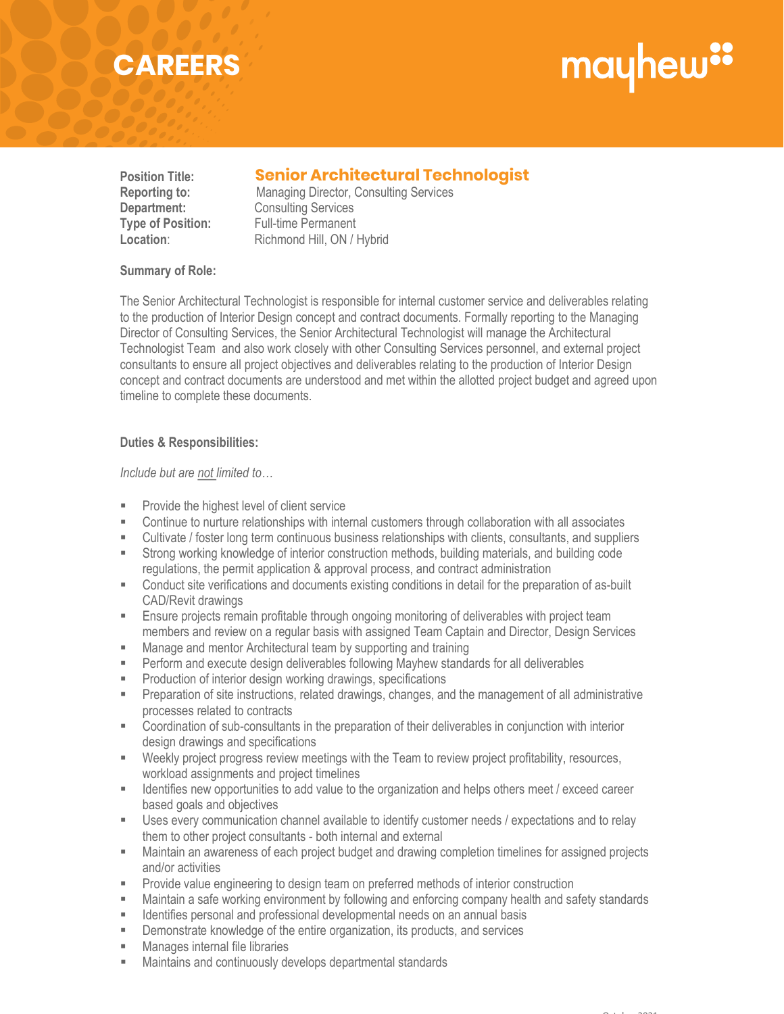## **CAREERS**

# mayhew"

### **Position Title: Senior Architectural Technologist Senior Architectural Technologist**

**Reporting to:** Managing Director, Consulting Services **Department:** Consulting Services **Type of Position:** Full-time Permanent<br> **Location:** Richmond Hill. ON / I Richmond Hill, ON / Hybrid

#### **Summary of Role:**

The Senior Architectural Technologist is responsible for internal customer service and deliverables relating to the production of Interior Design concept and contract documents. Formally reporting to the Managing Director of Consulting Services, the Senior Architectural Technologist will manage the Architectural Technologist Team and also work closely with other Consulting Services personnel, and external project consultants to ensure all project objectives and deliverables relating to the production of Interior Design concept and contract documents are understood and met within the allotted project budget and agreed upon timeline to complete these documents.

#### **Duties & Responsibilities:**

*Include but are not limited to…*

- **Provide the highest level of client service**<br>Continue to purture relationships with inte
- Continue to nurture relationships with internal customers through collaboration with all associates
- Cultivate / foster long term continuous business relationships with clients, consultants, and suppliers
- Strong working knowledge of interior construction methods, building materials, and building code regulations, the permit application & approval process, and contract administration
- Conduct site verifications and documents existing conditions in detail for the preparation of as-built CAD/Revit drawings
- **Ensure projects remain profitable through ongoing monitoring of deliverables with project team** members and review on a regular basis with assigned Team Captain and Director, Design Services
- **Manage and mentor Architectural team by supporting and training**
- **Perform and execute design deliverables following Mayhew standards for all deliverables**
- **Production of interior design working drawings, specifications**
- **Preparation of site instructions, related drawings, changes, and the management of all administrative** processes related to contracts
- Coordination of sub-consultants in the preparation of their deliverables in conjunction with interior design drawings and specifications
- Weekly project progress review meetings with the Team to review project profitability, resources, workload assignments and project timelines
- Identifies new opportunities to add value to the organization and helps others meet / exceed career based goals and objectives
- Uses every communication channel available to identify customer needs / expectations and to relay them to other project consultants - both internal and external
- Maintain an awareness of each project budget and drawing completion timelines for assigned projects and/or activities
- **Provide value engineering to design team on preferred methods of interior construction**
- Maintain a safe working environment by following and enforcing company health and safety standards
- **IDENTIFIER** 1 Identifies personal and professional developmental needs on an annual basis
- Demonstrate knowledge of the entire organization, its products, and services
- Manages internal file libraries
- Maintains and continuously develops departmental standards